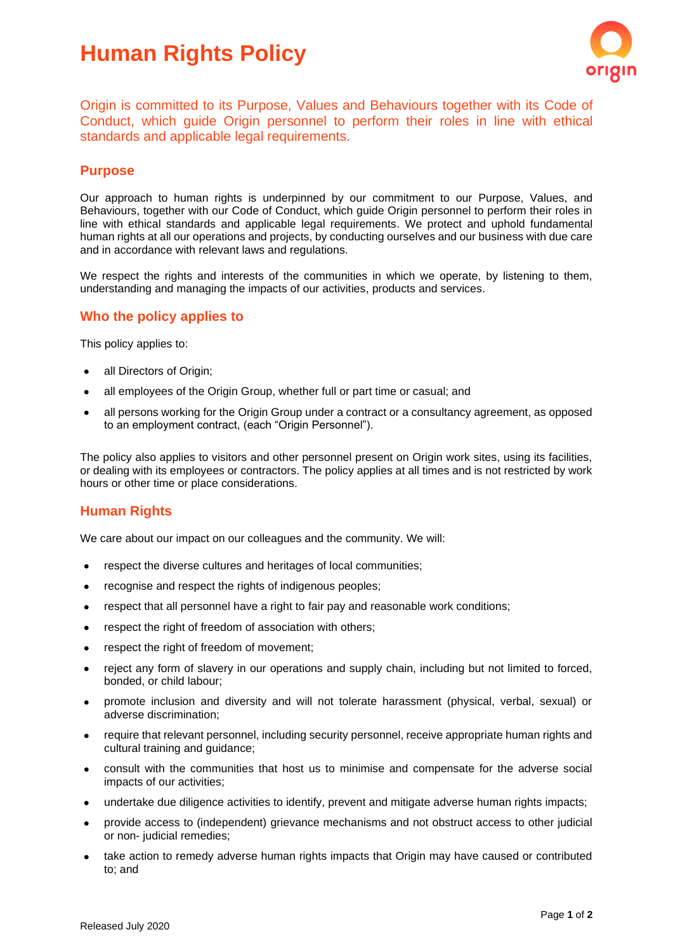# **Human Rights Policy**



Origin is committed to its Purpose, Values and Behaviours together with its Code of Conduct, which guide Origin personnel to perform their roles in line with ethical standards and applicable legal requirements.

#### **Purpose**

Our approach to human rights is underpinned by our commitment to our Purpose, Values, and Behaviours, together with our Code of Conduct, which guide Origin personnel to perform their roles in line with ethical standards and applicable legal requirements. We protect and uphold fundamental human rights at all our operations and projects, by conducting ourselves and our business with due care and in accordance with relevant laws and regulations.

We respect the rights and interests of the communities in which we operate, by listening to them, understanding and managing the impacts of our activities, products and services.

## **Who the policy applies to**

This policy applies to:

- all Directors of Origin;
- all employees of the Origin Group, whether full or part time or casual; and
- all persons working for the Origin Group under a contract or a consultancy agreement, as opposed to an employment contract, (each "Origin Personnel").

The policy also applies to visitors and other personnel present on Origin work sites, using its facilities, or dealing with its employees or contractors. The policy applies at all times and is not restricted by work hours or other time or place considerations.

## **Human Rights**

We care about our impact on our colleagues and the community. We will:

- respect the diverse cultures and heritages of local communities;
- recognise and respect the rights of indigenous peoples;
- respect that all personnel have a right to fair pay and reasonable work conditions;
- respect the right of freedom of association with others;
- respect the right of freedom of movement;
- reject any form of slavery in our operations and supply chain, including but not limited to forced, bonded, or child labour;
- promote inclusion and diversity and will not tolerate harassment (physical, verbal, sexual) or adverse discrimination;
- require that relevant personnel, including security personnel, receive appropriate human rights and cultural training and guidance;
- consult with the communities that host us to minimise and compensate for the adverse social impacts of our activities;
- undertake due diligence activities to identify, prevent and mitigate adverse human rights impacts;
- provide access to (independent) grievance mechanisms and not obstruct access to other judicial or non- judicial remedies;
- take action to remedy adverse human rights impacts that Origin may have caused or contributed to; and